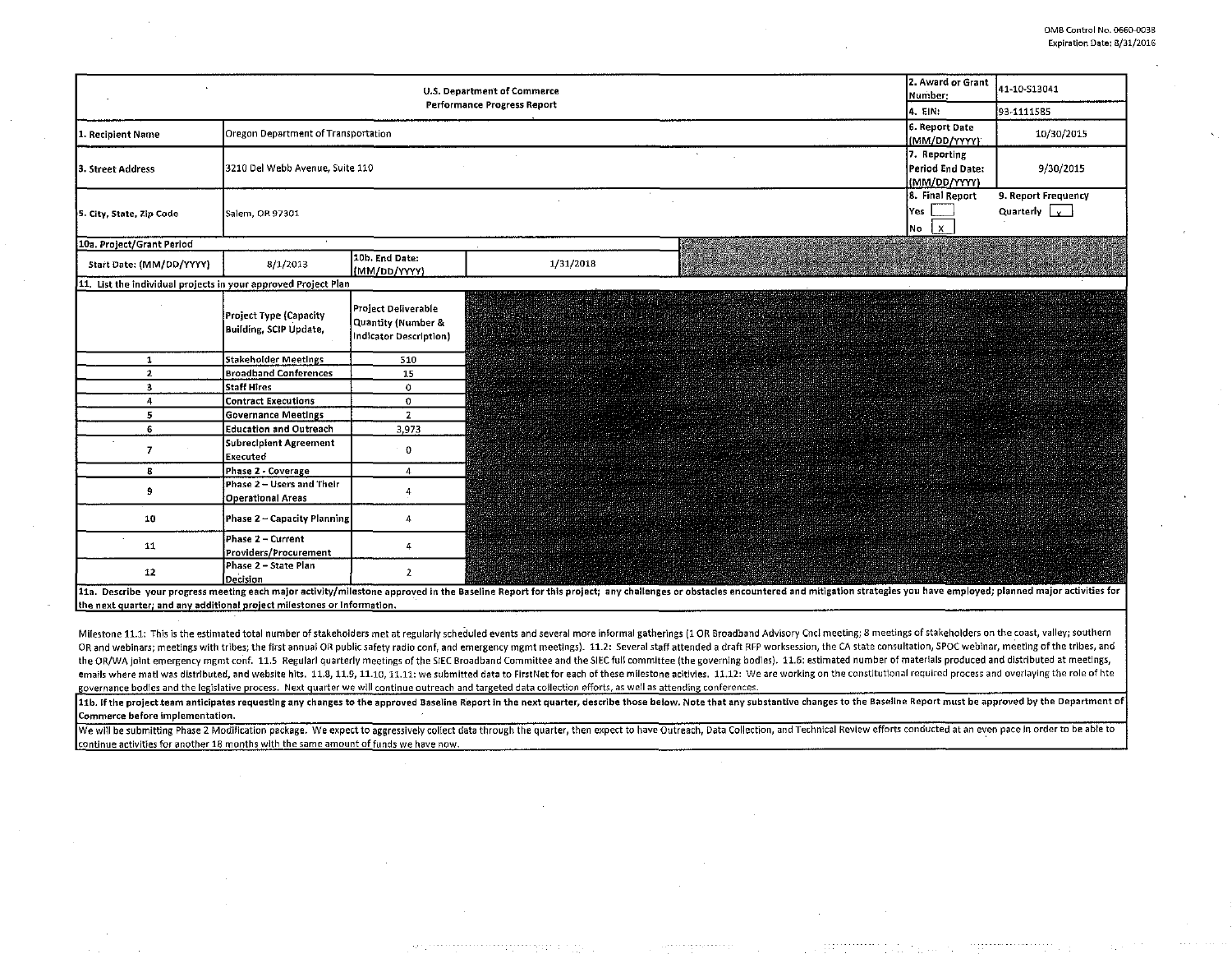| <b>U.S. Department of Commerce</b>                             |                                                         |                                                                     |                                                                                                                                                                                                                                | 2. Award or Grant<br>Number:                                                                                                                  | 41-10-S13041                                     |                                                      |
|----------------------------------------------------------------|---------------------------------------------------------|---------------------------------------------------------------------|--------------------------------------------------------------------------------------------------------------------------------------------------------------------------------------------------------------------------------|-----------------------------------------------------------------------------------------------------------------------------------------------|--------------------------------------------------|------------------------------------------------------|
|                                                                |                                                         |                                                                     | Performance Progress Report                                                                                                                                                                                                    |                                                                                                                                               | 4. EIN:                                          | 93-1111585                                           |
| Recipient Name                                                 | Oregon Department of Transportation                     |                                                                     |                                                                                                                                                                                                                                |                                                                                                                                               | 6. Report Date<br>(MM/DD/YYYY)                   | 10/30/2015                                           |
| 3. Street Address                                              | 3210 Del Webb Avenue, Suite 110                         |                                                                     |                                                                                                                                                                                                                                |                                                                                                                                               | 7. Reporting<br>Period End Date:<br>(MM/DD/YYYY) | 9/30/2015                                            |
| 5. City, State, Zip Code                                       | 8. Final Report<br>Yes<br>Salem, OR 97301<br>No         |                                                                     |                                                                                                                                                                                                                                |                                                                                                                                               |                                                  | 9. Report Frequency<br>Quarterly $\vert \cdot \vert$ |
| 10a. Project/Grant Period                                      |                                                         |                                                                     |                                                                                                                                                                                                                                |                                                                                                                                               |                                                  |                                                      |
| Start Date: (MM/DD/YYYY)                                       | 8/1/2013                                                | 10b. End Date:<br>(MM/DD/YYYY)                                      | 1/31/2018                                                                                                                                                                                                                      |                                                                                                                                               |                                                  |                                                      |
| 11. List the individual projects in your approved Project Plan |                                                         |                                                                     |                                                                                                                                                                                                                                |                                                                                                                                               |                                                  |                                                      |
|                                                                | <b>Project Type (Capacity</b><br>Building, SCIP Update, | Project Deliverable<br>Quantity (Number &<br>Indicator Description) |                                                                                                                                                                                                                                | <b>MARKA MARKA MARKA MARKA MARKA MARKA MARKA MARKA MARKA MARKA MARKA MARKA MARKA MARKA MARKA MARKA MARKA MARKA MA</b><br>THE REPORT OF STREET |                                                  |                                                      |
| $\mathbf{1}$                                                   | <b>Stakeholder Meetings</b>                             | 510                                                                 |                                                                                                                                                                                                                                |                                                                                                                                               |                                                  |                                                      |
| $\mathbf{z}$                                                   | <b>Broadband Conferences</b>                            | 15                                                                  |                                                                                                                                                                                                                                |                                                                                                                                               |                                                  |                                                      |
| 3                                                              | <b>Staff Hires</b>                                      | $\circ$                                                             |                                                                                                                                                                                                                                |                                                                                                                                               |                                                  |                                                      |
| 4                                                              | <b>Contract Executions</b>                              | $\circ$                                                             |                                                                                                                                                                                                                                |                                                                                                                                               |                                                  |                                                      |
| 5                                                              | <b>Governance Meetings</b>                              | $\overline{2}$                                                      |                                                                                                                                                                                                                                |                                                                                                                                               |                                                  |                                                      |
| 6                                                              | <b>Education and Outreach</b>                           | 3,973                                                               |                                                                                                                                                                                                                                |                                                                                                                                               |                                                  |                                                      |
| $\overline{ }$                                                 | <b>Subrecipient Agreement</b><br><b>Executed</b>        | $\Omega$                                                            |                                                                                                                                                                                                                                |                                                                                                                                               |                                                  |                                                      |
| 8                                                              | Phase 2 - Coverage                                      | $\overline{4}$                                                      |                                                                                                                                                                                                                                |                                                                                                                                               |                                                  |                                                      |
| 9                                                              | Phase 2 - Users and Their<br><b>Operational Areas</b>   | 4                                                                   |                                                                                                                                                                                                                                |                                                                                                                                               |                                                  |                                                      |
| 10                                                             | Phase 2 - Capacity Planning                             | 4                                                                   |                                                                                                                                                                                                                                |                                                                                                                                               |                                                  |                                                      |
| 11                                                             | Phase 2 - Current<br>Providers/Procurement              | 4                                                                   |                                                                                                                                                                                                                                |                                                                                                                                               |                                                  |                                                      |
| 12                                                             | Phase 2 - State Plan<br>Decision                        | $\overline{2}$                                                      |                                                                                                                                                                                                                                |                                                                                                                                               |                                                  |                                                      |
|                                                                |                                                         |                                                                     | 11a Describe your progress meeting each major activity/milestone approved in the Baseline Report for this project: any challenges or obstacles eprountered and mitigation strategies you have employed; planned major activiti |                                                                                                                                               |                                                  |                                                      |

the next quarter; and any additional project milestones or information.

Milestone 11.1: This is the estimated total number of stakeholders met at regularly scheduled events and several more informal gatherings (1 OR Broadband Advisory Cncl meeting; 8 meetings of stakeholders on the coast, vall OR and webinars; meetings with tribes; the first annual OR public safety radio conf, and emergency mgmt meetings). 11.2: Several staff attended a draft RFP worksession, the CA state consultation, SPOC webinar, meeting of t the OR/WA joint emergency mgmt conf. 11.5 Regulari quarterly meetings of the SIEC Broadband Committee and the SIEC full committee (the governing bodies). 11.6: estimated number of materials produced and distributed at meet emails where matl was distributed, and website hits. 11.8, 11.8, 11.19, 11.10, 11.11: we submitted data to FirstNet for each of these milestone acitivies. 11.12: We are working on the constitutional required process and ov governance bodies and the legislative process. Next quarter we will continue outreach and targeted data collection efforts, as well as attending conferences.

11b. If the project team anticipates requesting any changes to the approved Baseline Report in the next quarter, describe those below. Note that any substantive changes to the Baseline Report must be approved by the Depart Commerce before Implementation.

We will be submitting Phase 2 Modification package. We expect to aggressively collect data through the quarter, then expect to have Outreach, Data Collection, and Technical Review efforts conducted at an even pace in order continue activities for another 18 months with the same amount of funds we have now.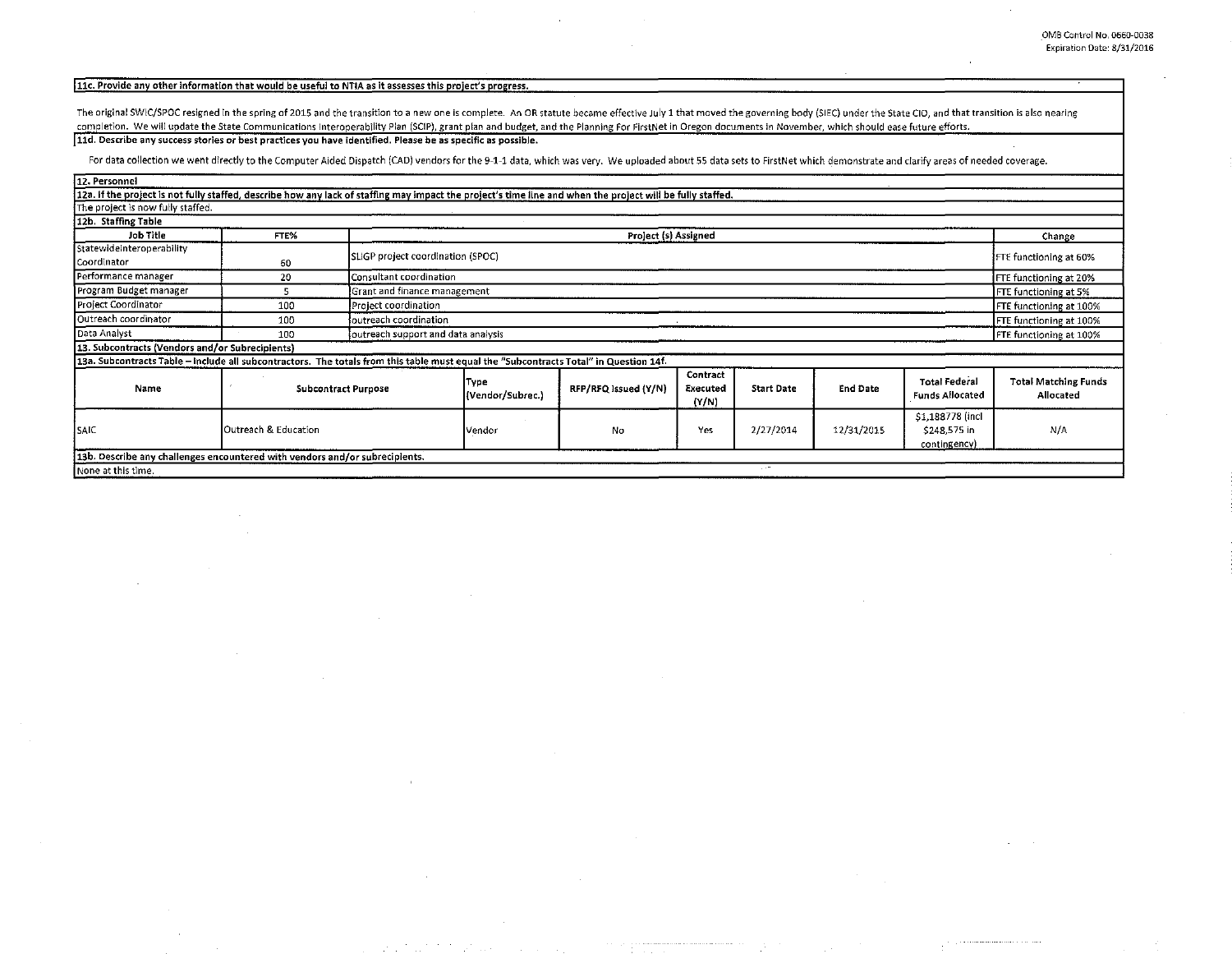## 11c. Provide any other information that would be useful to NTIA as it assesses this project's progress.

The original SWIC/SPOC resigned in the spring of 2015 and the transition to a new one is complete. An OR statute became effective July 1 that moved the governing body (SIEC) under the State CIO, and that transition is also completion. We will update the State Communications Interoperability Plan (SCIP), grant plan and budget, and the Planning For FirstNet in Oregon documents in November, which should ease future efforts. [11d. Describe any success stories or best practices you have identified. Please be as specific as possible.

For data collection we went directly to the Computer Aided Dispatch (CAD) vendors for the 9-1-1 data, which was very. We uploaded about 55 data sets to FirstNet which demonstrate and clarify areas of needed coverage.

| 12. Personnel                                                                                                                                              |                      |                                    |                                                          |                      |                               |                   |                 |                                                  |                                          |
|------------------------------------------------------------------------------------------------------------------------------------------------------------|----------------------|------------------------------------|----------------------------------------------------------|----------------------|-------------------------------|-------------------|-----------------|--------------------------------------------------|------------------------------------------|
| 12a. If the project is not fully staffed, describe how any lack of staffing may impact the project's time line and when the project will be fully staffed. |                      |                                    |                                                          |                      |                               |                   |                 |                                                  |                                          |
| The project is now fully staffed.                                                                                                                          |                      |                                    |                                                          |                      |                               |                   |                 |                                                  |                                          |
| 12b. Staffing Table                                                                                                                                        |                      |                                    |                                                          |                      |                               |                   |                 |                                                  |                                          |
| Job Title                                                                                                                                                  | FTE%                 |                                    | Project (s) Assigned                                     |                      |                               |                   |                 |                                                  | Change                                   |
| StatewideInteroperability<br>Coordinator                                                                                                                   | 60                   |                                    | SLIGP project coordination (SPOC)                        |                      |                               |                   |                 |                                                  | FTE functioning at 60%                   |
| Performance manager                                                                                                                                        | 20                   |                                    | Consultant coordination<br><b>FTE</b> functioning at 20% |                      |                               |                   |                 |                                                  |                                          |
| Program Budget manager                                                                                                                                     |                      |                                    | Grant and finance management                             |                      |                               |                   |                 |                                                  |                                          |
| Project Coordinator                                                                                                                                        | 100                  | Project coordination               | FTE functioning at 5%<br>FTE functioning at 100%         |                      |                               |                   |                 |                                                  |                                          |
| Outreach coordinator                                                                                                                                       | 100                  | loutreach coordination             | FTE functioning at 100%                                  |                      |                               |                   |                 |                                                  |                                          |
| Data Analyst                                                                                                                                               | 100                  | outreach support and data analysis |                                                          |                      |                               |                   |                 |                                                  | FTE functioning at 100%                  |
| 13. Subcontracts (Vendors and/or Subrecipients)                                                                                                            |                      |                                    |                                                          |                      |                               |                   |                 |                                                  |                                          |
| 13a. Subcontracts Table - include all subcontractors. The totals from this table must equal the "Subcontracts Total" in Question 14f.                      |                      |                                    |                                                          |                      |                               |                   |                 |                                                  |                                          |
| Name                                                                                                                                                       | Subcontract Purpose  |                                    | Type<br>(Vendor/Subrec.)                                 | RFP/RFQ Issued (Y/N) | Contract<br>Executed<br>(N/N) | <b>Start Date</b> | <b>End Date</b> | <b>Total Federal</b><br><b>Funds Allocated</b>   | <b>Total Matching Funds</b><br>Allocated |
| SAIC                                                                                                                                                       | Outreach & Education |                                    | Vendor                                                   | No                   | Yes                           | 2/27/2014         | 12/31/2015      | \$1,188778 (incl<br>\$248,575 in<br>contingency) | N/A                                      |
| 13b. Describe any challenges encountered with vendors and/or subrecipients.                                                                                |                      |                                    |                                                          |                      |                               |                   |                 |                                                  |                                          |
| None at this time.                                                                                                                                         |                      |                                    |                                                          |                      |                               | 1.14              |                 |                                                  |                                          |